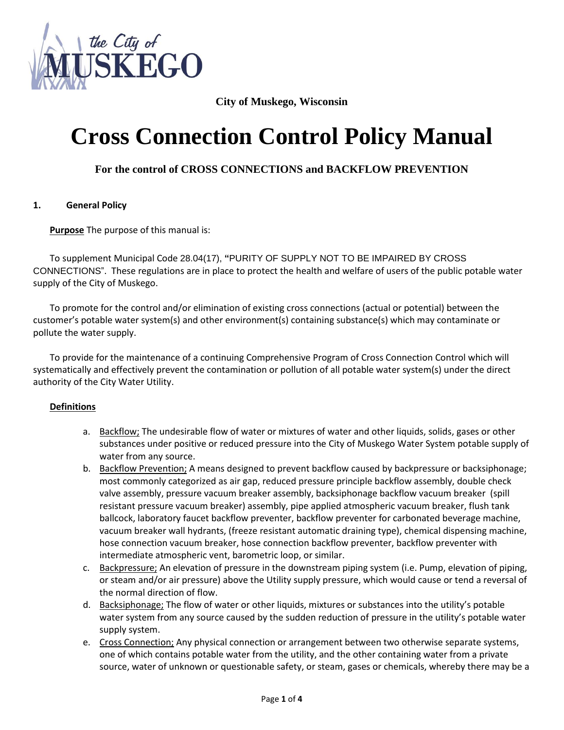

## **City of Muskego, Wisconsin**

# **Cross Connection Control Policy Manual**

## **For the control of CROSS CONNECTIONS and BACKFLOW PREVENTION**

### **1. General Policy**

**Purpose** The purpose of this manual is:

To supplement Municipal Code 28.04(17), **"**PURITY OF SUPPLY NOT TO BE IMPAIRED BY CROSS CONNECTIONS". These regulations are in place to protect the health and welfare of users of the public potable water supply of the City of Muskego.

To promote for the control and/or elimination of existing cross connections (actual or potential) between the customer's potable water system(s) and other environment(s) containing substance(s) which may contaminate or pollute the water supply.

To provide for the maintenance of a continuing Comprehensive Program of Cross Connection Control which will systematically and effectively prevent the contamination or pollution of all potable water system(s) under the direct authority of the City Water Utility.

#### **Definitions**

- a. Backflow; The undesirable flow of water or mixtures of water and other liquids, solids, gases or other substances under positive or reduced pressure into the City of Muskego Water System potable supply of water from any source.
- b. Backflow Prevention; A means designed to prevent backflow caused by backpressure or backsiphonage; most commonly categorized as air gap, reduced pressure principle backflow assembly, double check valve assembly, pressure vacuum breaker assembly, backsiphonage backflow vacuum breaker (spill resistant pressure vacuum breaker) assembly, pipe applied atmospheric vacuum breaker, flush tank ballcock, laboratory faucet backflow preventer, backflow preventer for carbonated beverage machine, vacuum breaker wall hydrants, (freeze resistant automatic draining type), chemical dispensing machine, hose connection vacuum breaker, hose connection backflow preventer, backflow preventer with intermediate atmospheric vent, barometric loop, or similar.
- c. Backpressure; An elevation of pressure in the downstream piping system (i.e. Pump, elevation of piping, or steam and/or air pressure) above the Utility supply pressure, which would cause or tend a reversal of the normal direction of flow.
- d. Backsiphonage; The flow of water or other liquids, mixtures or substances into the utility's potable water system from any source caused by the sudden reduction of pressure in the utility's potable water supply system.
- e. Cross Connection; Any physical connection or arrangement between two otherwise separate systems, one of which contains potable water from the utility, and the other containing water from a private source, water of unknown or questionable safety, or steam, gases or chemicals, whereby there may be a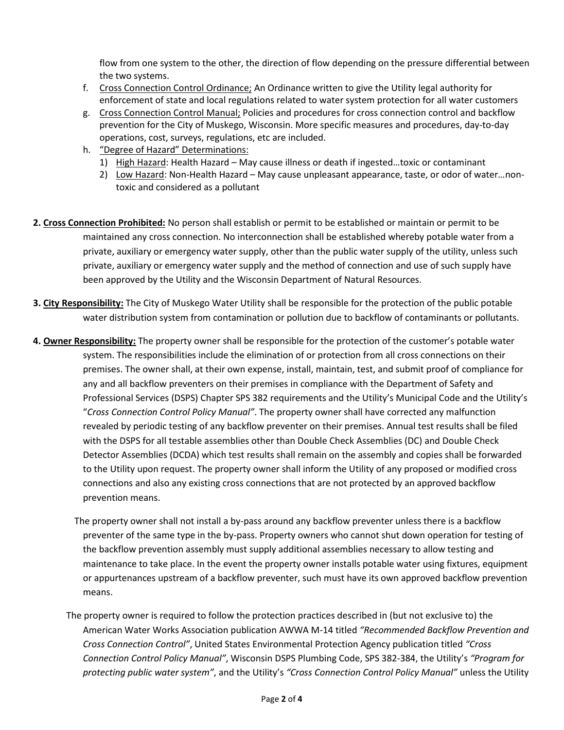flow from one system to the other, the direction of flow depending on the pressure differential between the two systems.

- f. Cross Connection Control Ordinance; An Ordinance written to give the Utility legal authority for enforcement of state and local regulations related to water system protection for all water customers
- g. Cross Connection Control Manual; Policies and procedures for cross connection control and backflow prevention for the City of Muskego, Wisconsin. More specific measures and procedures, day-to-day operations, cost, surveys, regulations, etc are included.
- h. "Degree of Hazard" Determinations:
	- 1) High Hazard: Health Hazard May cause illness or death if ingested…toxic or contaminant
	- 2) Low Hazard: Non-Health Hazard May cause unpleasant appearance, taste, or odor of water…nontoxic and considered as a pollutant
- **2. Cross Connection Prohibited:** No person shall establish or permit to be established or maintain or permit to be maintained any cross connection. No interconnection shall be established whereby potable water from a private, auxiliary or emergency water supply, other than the public water supply of the utility, unless such private, auxiliary or emergency water supply and the method of connection and use of such supply have been approved by the Utility and the Wisconsin Department of Natural Resources.
- **3. City Responsibility:** The City of Muskego Water Utility shall be responsible for the protection of the public potable water distribution system from contamination or pollution due to backflow of contaminants or pollutants.
- **4. Owner Responsibility:** The property owner shall be responsible for the protection of the customer's potable water system. The responsibilities include the elimination of or protection from all cross connections on their premises. The owner shall, at their own expense, install, maintain, test, and submit proof of compliance for any and all backflow preventers on their premises in compliance with the Department of Safety and Professional Services (DSPS) Chapter SPS 382 requirements and the Utility's Municipal Code and the Utility's "*Cross Connection Control Policy Manual"*. The property owner shall have corrected any malfunction revealed by periodic testing of any backflow preventer on their premises. Annual test results shall be filed with the DSPS for all testable assemblies other than Double Check Assemblies (DC) and Double Check Detector Assemblies (DCDA) which test results shall remain on the assembly and copies shall be forwarded to the Utility upon request. The property owner shall inform the Utility of any proposed or modified cross connections and also any existing cross connections that are not protected by an approved backflow prevention means.
	- The property owner shall not install a by-pass around any backflow preventer unless there is a backflow preventer of the same type in the by-pass. Property owners who cannot shut down operation for testing of the backflow prevention assembly must supply additional assemblies necessary to allow testing and maintenance to take place. In the event the property owner installs potable water using fixtures, equipment or appurtenances upstream of a backflow preventer, such must have its own approved backflow prevention means.
	- The property owner is required to follow the protection practices described in (but not exclusive to) the American Water Works Association publication AWWA M-14 titled *"Recommended Backflow Prevention and Cross Connection Control"*, United States Environmental Protection Agency publication titled *"Cross Connection Control Policy Manual"*, Wisconsin DSPS Plumbing Code, SPS 382-384, the Utility's *"Program for protecting public water system"*, and the Utility's *"Cross Connection Control Policy Manual"* unless the Utility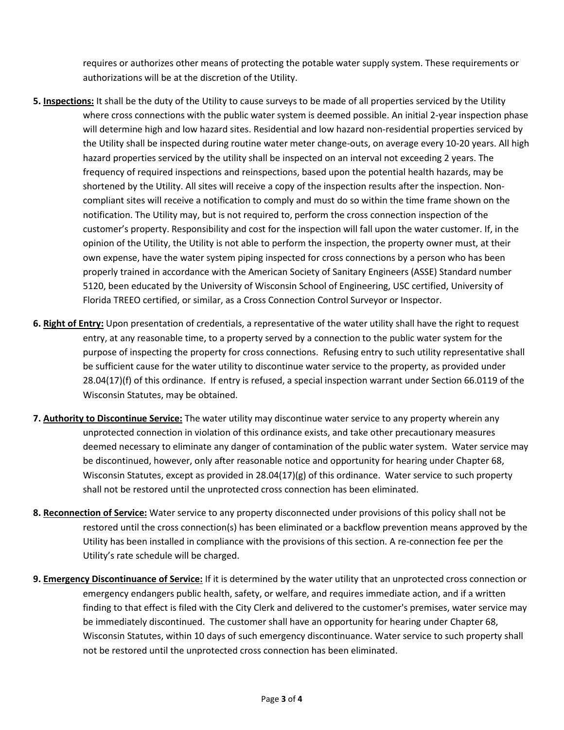requires or authorizes other means of protecting the potable water supply system. These requirements or authorizations will be at the discretion of the Utility.

- **5. Inspections:** It shall be the duty of the Utility to cause surveys to be made of all properties serviced by the Utility where cross connections with the public water system is deemed possible. An initial 2-year inspection phase will determine high and low hazard sites. Residential and low hazard non-residential properties serviced by the Utility shall be inspected during routine water meter change-outs, on average every 10-20 years. All high hazard properties serviced by the utility shall be inspected on an interval not exceeding 2 years. The frequency of required inspections and reinspections, based upon the potential health hazards, may be shortened by the Utility. All sites will receive a copy of the inspection results after the inspection. Noncompliant sites will receive a notification to comply and must do so within the time frame shown on the notification. The Utility may, but is not required to, perform the cross connection inspection of the customer's property. Responsibility and cost for the inspection will fall upon the water customer. If, in the opinion of the Utility, the Utility is not able to perform the inspection, the property owner must, at their own expense, have the water system piping inspected for cross connections by a person who has been properly trained in accordance with the American Society of Sanitary Engineers (ASSE) Standard number 5120, been educated by the University of Wisconsin School of Engineering, USC certified, University of Florida TREEO certified, or similar, as a Cross Connection Control Surveyor or Inspector.
- **6. Right of Entry:** Upon presentation of credentials, a representative of the water utility shall have the right to request entry, at any reasonable time, to a property served by a connection to the public water system for the purpose of inspecting the property for cross connections. Refusing entry to such utility representative shall be sufficient cause for the water utility to discontinue water service to the property, as provided under 28.04(17)(f) of this ordinance. If entry is refused, a special inspection warrant under Section 66.0119 of the Wisconsin Statutes, may be obtained.
- **7. Authority to Discontinue Service:** The water utility may discontinue water service to any property wherein any unprotected connection in violation of this ordinance exists, and take other precautionary measures deemed necessary to eliminate any danger of contamination of the public water system. Water service may be discontinued, however, only after reasonable notice and opportunity for hearing under Chapter 68, Wisconsin Statutes, except as provided in  $28.04(17)(g)$  of this ordinance. Water service to such property shall not be restored until the unprotected cross connection has been eliminated.
- **8. Reconnection of Service:** Water service to any property disconnected under provisions of this policy shall not be restored until the cross connection(s) has been eliminated or a backflow prevention means approved by the Utility has been installed in compliance with the provisions of this section. A re-connection fee per the Utility's rate schedule will be charged.
- **9. Emergency Discontinuance of Service:** If it is determined by the water utility that an unprotected cross connection or emergency endangers public health, safety, or welfare, and requires immediate action, and if a written finding to that effect is filed with the City Clerk and delivered to the customer's premises, water service may be immediately discontinued. The customer shall have an opportunity for hearing under Chapter 68, Wisconsin Statutes, within 10 days of such emergency discontinuance. Water service to such property shall not be restored until the unprotected cross connection has been eliminated.